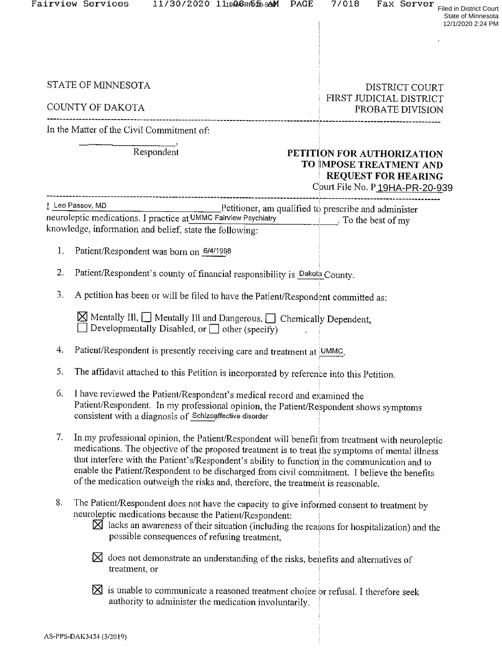|    | Fairview Services<br>11/30/2020 11ppppp520-99M<br><b>PAGE</b>                                                                                                                                                                                                                                                                                                                                                                                                                             | 7/018<br>Fax Server<br><b>Filed in District Court</b><br>State of Minnesota<br>12/1/2020 2:24 PM                      |
|----|-------------------------------------------------------------------------------------------------------------------------------------------------------------------------------------------------------------------------------------------------------------------------------------------------------------------------------------------------------------------------------------------------------------------------------------------------------------------------------------------|-----------------------------------------------------------------------------------------------------------------------|
|    | STATE OF MINNESOTA<br>COUNTY OF DAKOTA                                                                                                                                                                                                                                                                                                                                                                                                                                                    | <b>DISTRICT COURT</b><br>FIRST JUDICIAL DISTRICT<br>PROBATE DIVISION                                                  |
|    | In the Matter of the Civil Commitment of:                                                                                                                                                                                                                                                                                                                                                                                                                                                 |                                                                                                                       |
|    | Respondent                                                                                                                                                                                                                                                                                                                                                                                                                                                                                | PETITION FOR AUTHORIZATION<br>TO IMPOSE TREATMENT AND<br><b>REQUEST FOR HEARING</b><br>Court File No. P19HA-PR-20-939 |
|    | I Leo Passov, MD<br>$Pettioner$ , am qualified to prescribe and administer<br>neuroleptic medications. I practice at UMMC Fairview Psychiatry Theory Control of my<br>knowledge, information and belief, state the following:                                                                                                                                                                                                                                                             |                                                                                                                       |
| 1. | Patient/Respondent was born on 6/4/1998                                                                                                                                                                                                                                                                                                                                                                                                                                                   |                                                                                                                       |
| 2. | Patient/Respondent's county of financial responsibility is Dakota County.                                                                                                                                                                                                                                                                                                                                                                                                                 |                                                                                                                       |
| 3. | A petition has been or will be filed to have the Patient/Respondent committed as:                                                                                                                                                                                                                                                                                                                                                                                                         |                                                                                                                       |
|    | $\boxtimes$ Mentally III, $\Box$ Mentally III and Dangerous, $\Box$ Chemically Dependent,<br>Developmentally Disabled, or $\Box$ other (specify)                                                                                                                                                                                                                                                                                                                                          |                                                                                                                       |
| 4. | Patient/Respondent is presently receiving care and treatment at UMMC.                                                                                                                                                                                                                                                                                                                                                                                                                     |                                                                                                                       |
| 5. | The affidavit attached to this Petition is incorporated by reference into this Petition.                                                                                                                                                                                                                                                                                                                                                                                                  |                                                                                                                       |
| 6. | I have reviewed the Patient/Respondent's medical record and examined the<br>Patient/Respondent. In my professional opinion, the Patient/Respondent shows symptoms<br>consistent with a diagnosis of Schizoaffective disorder                                                                                                                                                                                                                                                              |                                                                                                                       |
| 7. | In my professional opinion, the Patient/Respondent will benefit from treatment with neuroleptic<br>medications. The objective of the proposed treatment is to treat the symptoms of mental illness<br>that interfere with the Patient's/Respondent's ability to function in the communication and to<br>enable the Patient/Respondent to be discharged from civil commitment. I believe the benefits<br>of the medication outweigh the risks and, therefore, the treatment is reasonable. |                                                                                                                       |
| 8. | The Patient/Respondent does not have the capacity to give informed consent to treatment by<br>neuroleptic medications because the Patient/Respondent:<br>$\boxtimes$ lacks an awareness of their situation (including the reasons for hospitalization) and the<br>possible consequences of refusing treatment,                                                                                                                                                                            |                                                                                                                       |
|    | $\boxtimes$ does not demonstrate an understanding of the risks, benefits and alternatives of<br>treatment, or                                                                                                                                                                                                                                                                                                                                                                             |                                                                                                                       |

 $\boxtimes$  is unable to communicate a reasoned treatment choice or refusal. I therefore seek authority to administer the medication involuntarily.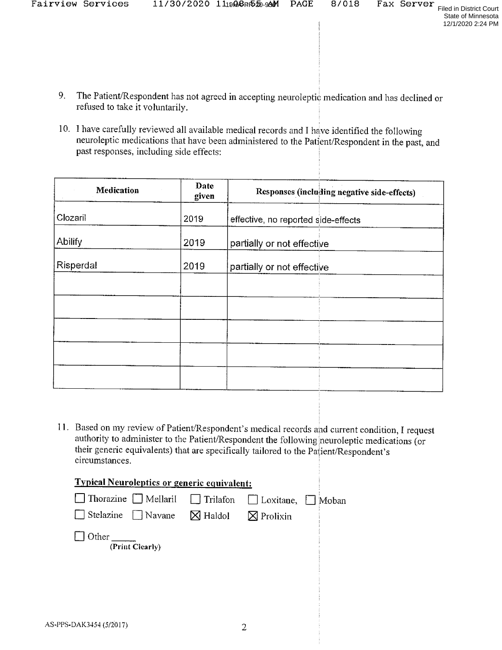- State of Minnesota 12/1/2020 2:24 PM
- 9. The Patient/Respondent has not agreed in accepting neuroleptic medication and has declined or refused to take it voluntarily.
- 10. I have carefully reviewed all available medical records and I have identified the following neuroleptic medications that have been administered to the Patient/Respondent in the past, and past responses, including side effects:

| Medication | Date<br>given | Responses (including negative side-effects) |
|------------|---------------|---------------------------------------------|
| Clozaril   | 2019          | effective, no reported side-effects         |
| Abilify    | 2019          | partially or not effective                  |
| Risperdal  | 2019          | partially or not effective                  |
|            |               |                                             |
|            |               |                                             |
|            |               |                                             |
|            |               |                                             |
|            |               |                                             |

11. Based on my review of Patient/Respondent's medical records and current condition, I request authority to administer to the Patient/Respondent the following neuroleptic medications (or their generic equivalents) that are specifically tailored to the Patient/Respondent's circumstances.

| <b>Typical Neuroleptics or generic equivalent:</b>                             |  |  |  |  |  |  |
|--------------------------------------------------------------------------------|--|--|--|--|--|--|
| $\Box$ Thorazine $\Box$ Mellaril $\Box$ Trilafon $\Box$ Loxitane, $\Box$ Moban |  |  |  |  |  |  |
| $\Box$ Stelazine $\Box$ Navane $\Box$ Haldol $\Box$ Prolixin                   |  |  |  |  |  |  |
| Other<br>(Print Clearly)                                                       |  |  |  |  |  |  |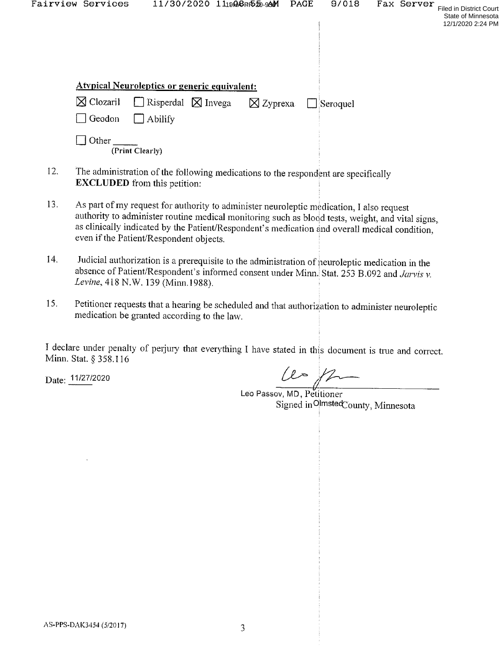| Fairview Services    |                                                     | 11/30/2020 111908PP520-99M |                     | <b>PAGE</b> | 9/018           | Fax Server | <b>Filed in District Court</b><br>State of Minnesota<br>12/1/2020 2:24 PM |
|----------------------|-----------------------------------------------------|----------------------------|---------------------|-------------|-----------------|------------|---------------------------------------------------------------------------|
|                      | <b>Atypical Neuroleptics or generic equivalent:</b> |                            |                     |             |                 |            |                                                                           |
| $\boxtimes$ Clozaril | $\Box$ Risperdal $\boxtimes$ Invega                 |                            | $\boxtimes$ Zyprexa |             | $\Box$ Seroquel |            |                                                                           |
| Geodon               | $\Box$ Abilify                                      |                            |                     |             |                 |            |                                                                           |
| Other                | (Print Clearly)                                     |                            |                     |             |                 |            |                                                                           |

- 12. The administration of the following medications to the respondent are specifically **EXCLUDED** from this petition:
- 13. As part of my request for authority to administer neuroleptic medication, I also request authority to administer routine medical monitoring such as blood tests, weight, and vital signs, as clinically indicated by the Patient/Respondent's medication and overall medical condition, even if the Patient/Respondent objects.
- 14. Judicial authorization is a prerequisite to the administration of neuroleptic medication in the absence of Patient/Respondent's informed consent under Minn. Stat. 253 B.092 and *Jarvis v. Levine*, 418 N.W. 139 (Minn.1988)
- 15. Petitioner requests that a hearing be scheduled and that authorization to administer neuroleptic medication be granted according to the law.

I declare under penalty of perjury that everything I have stated in this document is true and correct.<br>Minn. Stat. § 358.116

Date:  $\frac{11}{27/2020}$ 

Le'o Passcv, MD, Petitioner Signed in OlmstedCounty, Minnesota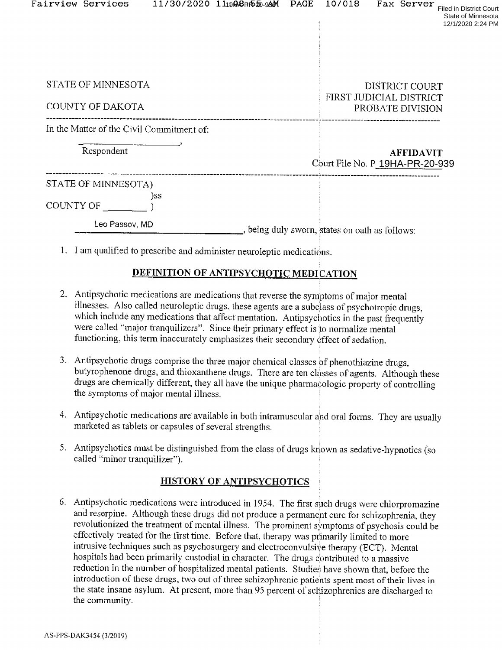|           | Fairview Services                         |     | 11/30/2020 11 <sub>19</sub> 00 <sub>P</sub> 内如-99M | PAGE | 10/018                                         |  | Fax Server       | <b>Filed in District Court</b><br>State of Minnesota<br>12/1/2020 2:24 PM |  |  |
|-----------|-------------------------------------------|-----|----------------------------------------------------|------|------------------------------------------------|--|------------------|---------------------------------------------------------------------------|--|--|
|           |                                           |     |                                                    |      |                                                |  |                  |                                                                           |  |  |
|           | STATE OF MINNESOTA                        |     |                                                    |      |                                                |  | DISTRICT COURT   |                                                                           |  |  |
|           | COUNTY OF DAKOTA                          |     |                                                    |      | FIRST JUDICIAL DISTRICT<br>PROBATE DIVISION    |  |                  |                                                                           |  |  |
|           | In the Matter of the Civil Commitment of: |     |                                                    |      |                                                |  |                  |                                                                           |  |  |
|           | Respondent                                |     |                                                    |      | Court File No. P 19HA-PR-20-939                |  | <b>AFFIDAVIT</b> |                                                                           |  |  |
| COUNTY OF | STATE OF MINNESOTA)                       | )SS |                                                    |      |                                                |  |                  |                                                                           |  |  |
|           | Leo Passov, MD                            |     |                                                    |      | , being duly sworn, states on oath as follows: |  |                  |                                                                           |  |  |

1. I am qualified to prescribe and administer neuroleptic medications.

#### DEFINITION OF ANTIPSYCHOTIC MEDICATION

- 2. Antipsychotic medications are medications that reverse the symptoms of major mental illnesses. Also called neuroleptic drugs, these agents are a subclass of psychotropic drugs, which include any medications that affect mentation. Antipsychotics in the past frequently were called "major tranquilizers". Since their primary effect is to normalize mental functioning, this term inaccurately emphasizes their secondary effect of sedation.
- 3. Antipsychotic drugs comprise the three major chemical classes of phenothiazine drugs, butyrophenone drugs, and thioxanthene drugs. There are ten classes of agents. Although these drugs are chemically different, they all have the unique pharmacologic property of controlling the symptoms of major mental illness.
- 4. Antipsychotic medications are available in both intramuscular and oral forms. They are usually marketed as tablets or capsules of several strengths.
- Antipsychotics must be distinguished from the class of drugs known as sedative-hypnotics (so<br>called "minor tranquilizer") called "minor tranquilizer").

#### HISTORY OF ANTIPSYCHOTICS

6. Antipsychotic medications were introduced in 1954. The first such drugs were chlorpromazine and reserpine. Although these drugs did not produce a permanent cure for schizophrenia, they revolutionized the treatment of mental illness. The prominent symptoms of psychosis could be effectively treated for the first time. Before that, therapy was primarily limited to more intrusive techniques such as psychosurgery and electroconvulsive therapy (ECT). Mental hospitals had been primarily custodial in character. The drugs contributed to a massive reduction in the number of hospitalized mental patients. Studies have shown that, before the introduction of these drugs, two out of three schizophrenic patients spent most of their lives in the state insane asylum. At present, more than 95 percent of schizophrenics are discharged to the community.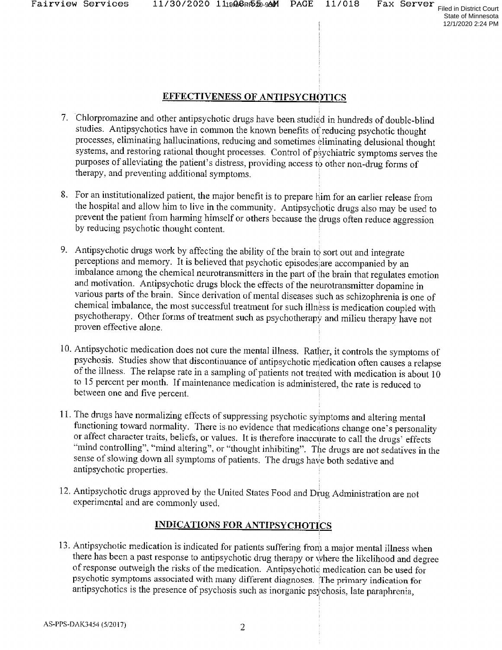State of Minnesota 12/1/2020 2:24 PM

#### EFFECTIVENESS OF ANTIPSYCHOTICS

- 7. Chlorpromazine and other antipsychotic drugs have been. studied in hundreds of double~blind studies. Antipsychotics have in common the known benefits of reducing psychotic thought processes, eliminating hallucinations, reducing and sometimes eliminating delusional thought systems, and restoring rational thought processes. Control of psychiatric symptoms serves the purposes of alleviating the patient's distress, providing access to other non-drug forms of therapy, and preventing additional symptoms.
- For an institutionalized patient, the major benefit is to prepare him for an earlier release from the hospital and allow him to live in the community. Antipsychotic drugs also may be used to prevent the patient from harming himself or others because the drugs often reduce aggression by reducing psychotic thought content.
- 9. Antipsychotic drugs work by affecting the ability of the brain to sort out and integrate perceptions and memory. It is believed that psychotic episodes are accompanied by an imbalance among the chemical neurotransmitters in the part of the brain that regulates emotion and motivation. Antipsychotic drugs block the effects of the neurotransmitter dopamine in various parts of the brain. Since derivation of mental diseases such as schizophrenia is one of chemical imbalance, the most successful treatment for such illness is medication coupled with psychotherapy. Other forms of treatment such as psychotherapy and milieu therapy have not proven effective alone.
- 10. Antipsychotic medication does not cure the mental illness. Rather, it controls the symptoms of psychosis. Studies show that discontinuance of antipsychotic medication often causes a relapse of the illness. The relapse rate in a sampling of patients not treated with medication is about 10 to <sup>15</sup> percent per month. If maintenance medication is administered, the rate is reduced to between one and five percent.
- 11. The drugs have normalizing effects of suppressing psychotic symptoms and altering mental functioning toward normality. There is no evidence that medications change one's personality<br>or affect character traits, beliefs, or values. It is therefore inaccurate to call the drugs' effects "mind controlling", "mind altering", or "thought inhibiting". The drugs are not sedatives in the sense of slowing down all symptoms of patients. The drugs have both sedative and antipsychotic properties.
- 12. Antipsychotic drugs approved by the United States Food and Drug Administration are not experimental and are commonly used.

# **INDICATIONS FOR ANTIPSYCHOTICS**

13. Antipsychotic medication is indicated for patients suffering from a major mental illness when there has been a past response to antipsychotic drug therapy or where the likelihood and degree of response outweigh the risks of the medication. Antipsychotic medication can be used for psychotic symptoms associated with antipsychotics is the presence of psychosis such as inorganic psychosis, late paraphrenia,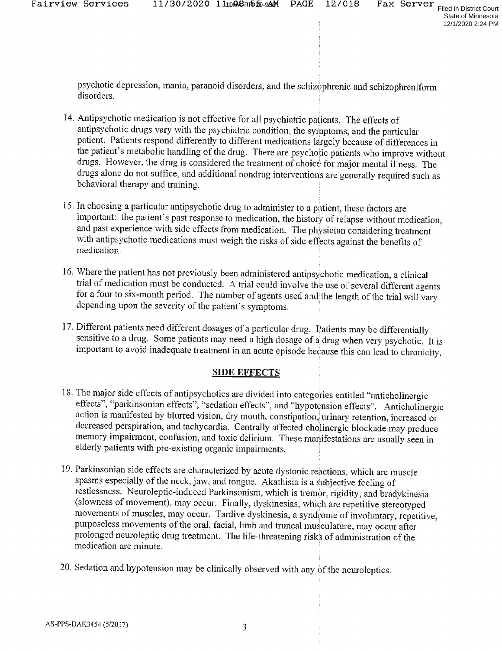psychotic depression, mania, paranoid disorders, and the schizophrenic and schizophreniform disorders. '3

- 14. Antipsychotic medication is not effective for all psychiatric patients. The effects of antipsychotic drugs vary with the psychiatric condition, the symptoms, and the particular patient. Patients respond differently to different medications largely because of differences in the patient's metabolic handling of the drug. There are psychotic patients who improve without drugs. However, the drug. is considered the treatment of choice: for major mental illness. The drugs alone do not suffice, and additional nondrug interventions are generally required such as behavioral therapy and training.
- 15. In choosing a particular antipsychotic drug to administer to a patient, these factors are important: the patient's past response to medication, the history of relapse without medication, and past experience with side effects from medication. The physician considering treatment with antipsychotic medications mus with antipsychotic medications must weigh the risks of side effects against the benefits of
- 16. Where the patient has not previously been administered antipsychotic medication, a clinical trial of medication must be conducted. A trial could involve the use of several different agents for a four to six-month period. The number of agents used and the length of the trial will vary depending upon the severity of the patient's symptoms.
- 17. Different patients need different dosages of a particular drug. Patients may be differentially sensitive to a drug. Some patients may need a high dosage of a drug when very psychotic. It is important to avoid inadequate treatment in an acute episode because this can lead to chronicity.

### SIDE EFFECTS

- 18. The major side effects of antipsychotics are divided into categories entitled "anticholinergic effects", "parkinsonian effects", "sedation effects", and "hypotension effects". Anticholinergic action is manifested by blurred vision, dry mouth, constipation, urinary retention, increased or decreased perspiration, and tachycardia. Centrally affected cholinergic blockade may produce memory impairment, confusion, an elderly patients with pre-existing organic impairments.
- 19. Parkinsonian side effects are characterized by acute dystonic reactions, which are muscle spasms especially of the neck, jaw, and tongue. Akathisia is a subjective feeling of restlessness. Neuroleptic-induced Parkinsonism, which is tremor, rigidity, and bradykinesia (slowness of movement), may occur. Finally, d movements of muscles, may occur. Tardive dyskinesia, a syndrome of involuntary, repetitive, purposeless movements of the oral, facial, limb and truncal musculature, may occur after prolonged neuroleptic drug treatment. The life-threatening risks of administration of the medication are minute.
- 20. Sedation and hypotension may be clinically observed with any  $\phi$ f the neuroleptics.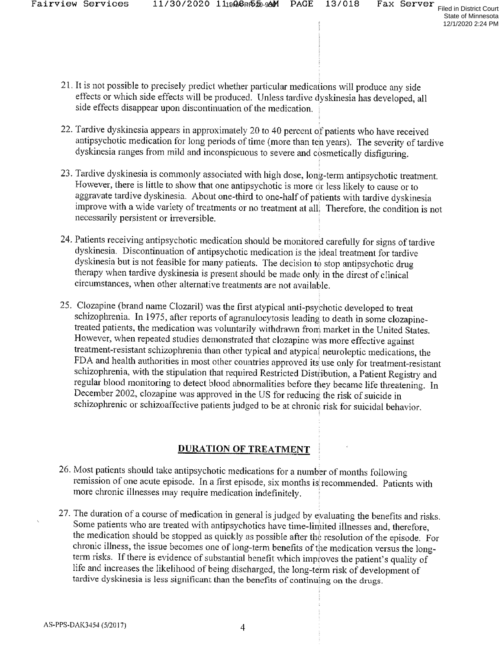State of Minnesota 12/1/2020 2:24 PM

- 21. It is not possible to precisely predict whether particular medications will produce any side effects or which side effects will be produced. Unless tardive dyskinesia has developed, all side effects disappear upon discontinuation of the medication.
- 22. Tardive dyskinesia appears in approximately <sup>20</sup> to <sup>40</sup> percent of patients who have received antipsychotic medication for long periods of time (more than ten years). The severity of tardive dyskinesia ranges from mild and inconspicuous to severe and cpsmetically disfiguring.
- Tardive dyskin'esia is commonly associated with high dose, long-term antipsychotic treatment. However, there is little to show that one antipsychotic is more dr less likely to cause or to aggravate tardive dyskinesia. About one-third to one-half of patients with tardive dyskinesia improve with a wide variety of treatments or no treatment at all; Therefore, the condition is not necessarily persistent or irreversible.
- 24. Patients receiving antipsychotic medication should be monitored carefully for signs of tardive dyskinesia. Discontinuation of antipsychotic medication is the ideal treatment for tardive dyskinesia but is not feasible for many patients. The decision to stop antipsychotic drug therapy when tardive dyskinesia is present should be made only in the direst of clinical circumstances, when other alternative treatments are not available.
- 25. Clozapine (brand name Clozaril) was the first atypical anti-psychotic developed to treat schizophrenia. In 1975, after reports of agranulocytosis leading to death in some clozapine-<br>treated patients, the medication was voluntarily withdrawn from market in the United States. However, when repeated studies demonstrated that clozapine was more effective against treatment-resistant schizophrenia than other typical and atypical neuroleptic medications, the FDA and health authorities in most other countries approved its use only for treatment-resistant schizophrenia, with the stipulation that required Restricted Distribution, a Patient Registry and regular blood monitoring to detect blood abnormalities before they became life threatening. In December 2002, clozapine was approved in the US for reducing the risk of suicide in schizophrenic or schizoaffective patients judged to be at chronic risk for suicidal behavior.

### DURATION OF TREATMENT

- 26. Most patients should take antipsychotic medications for a number of months following remission of one acute episode. In a first episode, six months is recommended. Patients with more chronic illnesses may require medication indefinitely.
- 27. The duration of a course of medication in general is judged by evaluating the The duration of a course of medication in general is judged by evaluating the benefits and risks.<br>Some patients who are treated with antipsychotics have time-limited illnesses and, therefore,<br>the medication should be stopp the medication should be stopped as quickly as possible after the resolution of the episode. For chronic illness, the issue becomes one of long-term benefits of the medication versus the long-<br>term right. If there is with term risks. If there is evidence of substantial benefit which improves the patient's quality of life and increases the likelihood of being discharged, the long—term risk of development of tardive dyskinesia is less significant than the benefits of continuing on the drugs.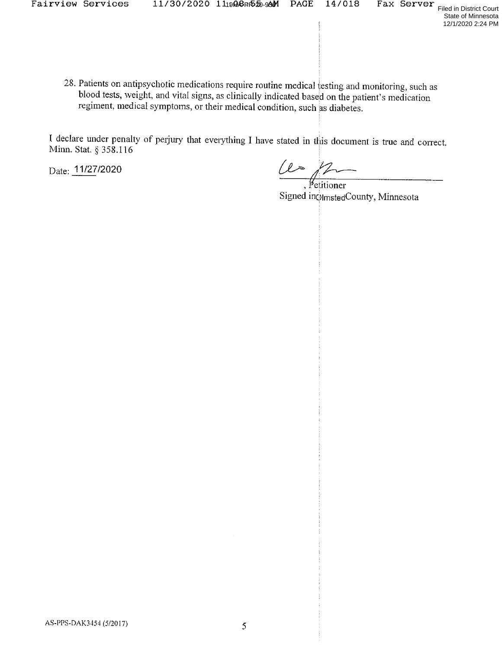28. Patients on antipsychotic medications require routine medical testing and monitoring, such as blood tests, weight, and vital signs, as clinically indicated based on the patient's medication regiment, medical symptoms, or their medical condition, such as diabetes.

I declare under penalty of perjury that everything I have stated in this document is true and correct. Minn. Stat.  $\S 358.116$ 

 $Date: \frac{11/27}{2020}$ 

Fetitioner Signed in $\ddot{\text{o}}$ <sub>lmsted</sub>County, Minnesota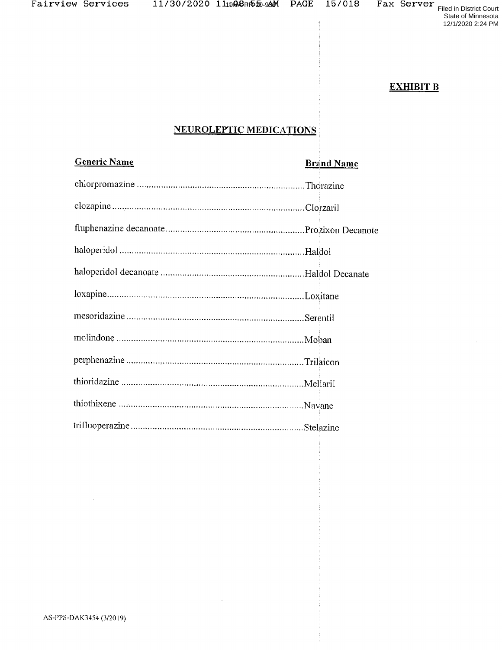19HASPR>20-9391 PAGE I57018 FAX SETVEY<br>Filed in District Court

State of Minnesota 12/1/2020 2:24 PM

**EXHIBIT B** 

## NEUROLEPTIC MEDICATIONS

| <b>Generic Name</b> | <b>Brand Name</b> |
|---------------------|-------------------|
|                     |                   |
|                     |                   |
|                     |                   |
|                     |                   |
|                     |                   |
|                     |                   |
|                     |                   |
|                     |                   |
|                     |                   |
|                     |                   |
|                     |                   |
|                     |                   |

 $\sim$ 

 $\bar{z}$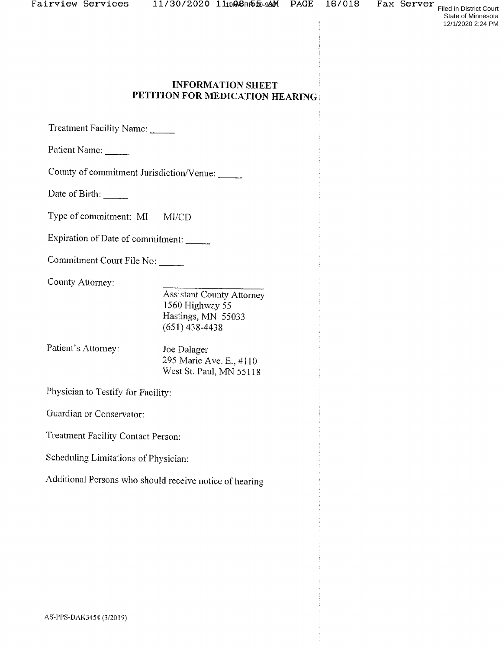# INFORMATION SHEET<br>PETITION FOR MEDICATION HEARING

Treatment Facility Name:

Patient Name:

County of commitment Jurisdiction/Venue:

Date of Birth:

Type of commitment: MI Ml/CD

Expiration of Date of commitment:

Commitment Court File No:

County Attorney:

Assistant County Attorney <sup>1560</sup> Highway <sup>55</sup> Hastings, MN 55033 (651) 438-4438

Patient's Attorney: Joe Dalager<br>295 Marie Ave. E., #110 West St. Paul, MN 55118

Physician to Testify for Facility:

Guardian or Conservator:

Treatment Facility Contact Person:

Scheduling Limitations of Physician:

Additional Persons who should receive notice of hearing